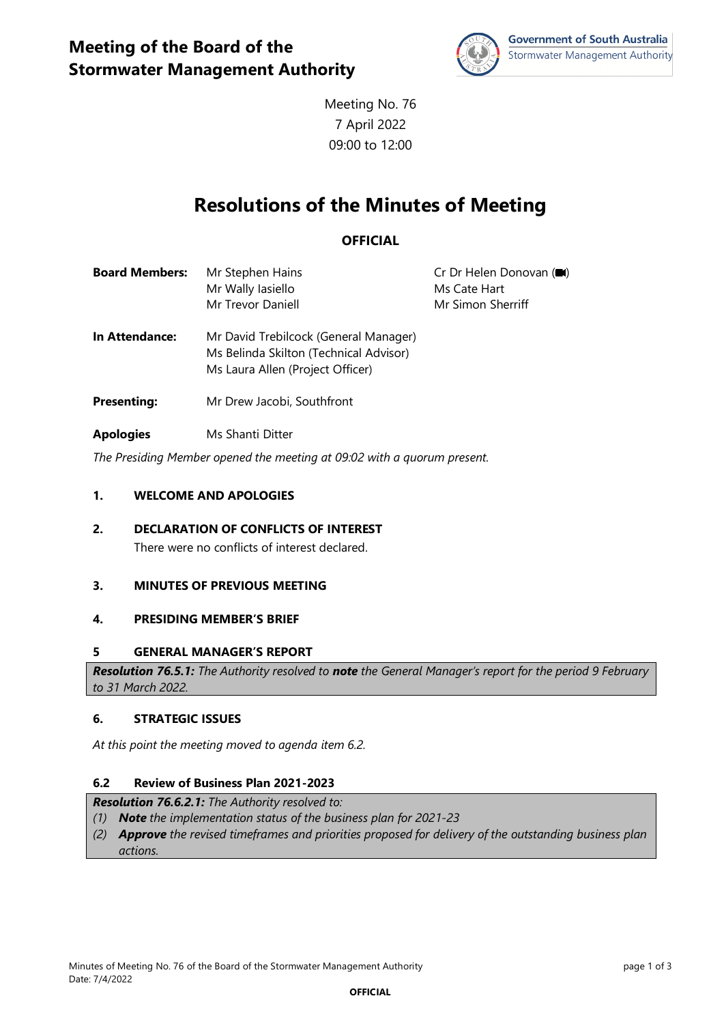

Meeting No. 76 7 April 2022 09:00 to 12:00

# **Resolutions of the Minutes of Meeting**

## **OFFICIAL**

| <b>Board Members:</b> | Mr Stephen Hains  | Cr Dr Helen Donovan (■ |
|-----------------------|-------------------|------------------------|
|                       | Mr Wally Iasiello | Ms Cate Hart           |
|                       | Mr Trevor Daniell | Mr Simon Sherriff      |

- **In Attendance:** Mr David Trebilcock (General Manager) Ms Belinda Skilton (Technical Advisor) Ms Laura Allen (Project Officer)
- **Presenting:** Mr Drew Jacobi, Southfront
- **Apologies** Ms Shanti Ditter

*The Presiding Member opened the meeting at 09:02 with a quorum present.* 

## **1. WELCOME AND APOLOGIES**

**2. DECLARATION OF CONFLICTS OF INTEREST** There were no conflicts of interest declared.

## **3. MINUTES OF PREVIOUS MEETING**

## **4. PRESIDING MEMBER'S BRIEF**

## **5 GENERAL MANAGER'S REPORT**

*Resolution 76.5.1: The Authority resolved to note the General Manager's report for the period 9 February to 31 March 2022.*

## **6. STRATEGIC ISSUES**

*At this point the meeting moved to agenda item 6.2.* 

## **6.2 Review of Business Plan 2021-2023**

#### *Resolution 76.6.2.1: The Authority resolved to:*

- *(1) Note the implementation status of the business plan for 2021-23*
- *(2) Approve the revised timeframes and priorities proposed for delivery of the outstanding business plan actions.*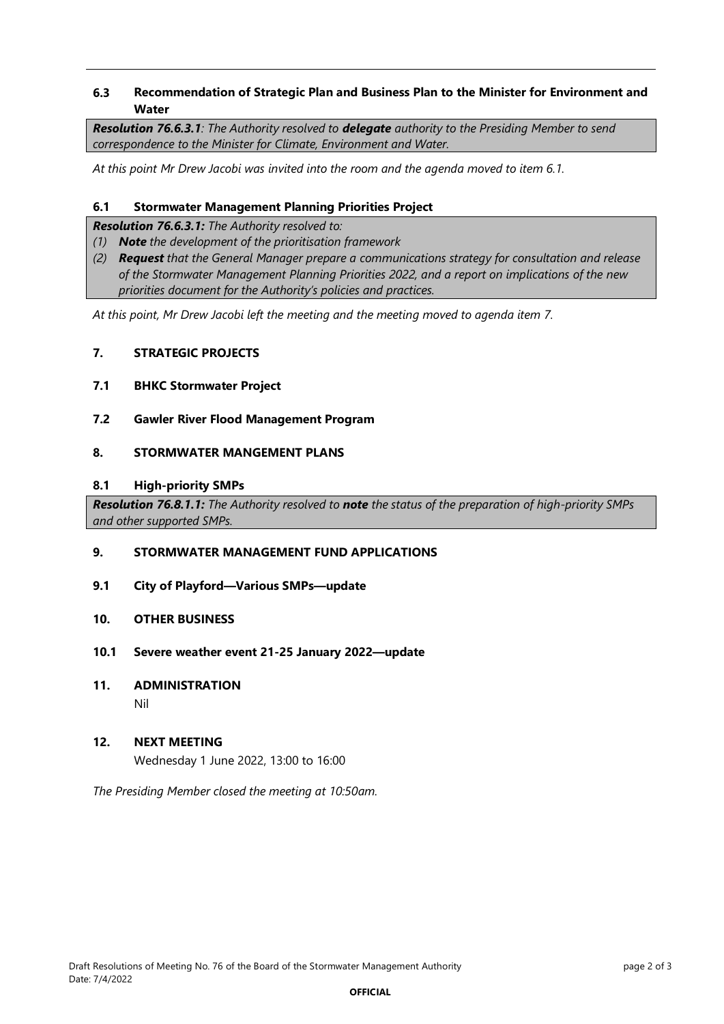## **6.3 Recommendation of Strategic Plan and Business Plan to the Minister for Environment and Water**

*Resolution 76.6.3.1: The Authority resolved to delegate authority to the Presiding Member to send correspondence to the Minister for Climate, Environment and Water.*

*At this point Mr Drew Jacobi was invited into the room and the agenda moved to item 6.1.*

## **6.1 Stormwater Management Planning Priorities Project**

*Resolution 76.6.3.1: The Authority resolved to:*

- *(1) Note the development of the prioritisation framework*
- *(2) Request that the General Manager prepare a communications strategy for consultation and release of the Stormwater Management Planning Priorities 2022, and a report on implications of the new priorities document for the Authority's policies and practices.*

*At this point, Mr Drew Jacobi left the meeting and the meeting moved to agenda item 7.*

## **7. STRATEGIC PROJECTS**

- **7.1 BHKC Stormwater Project**
- **7.2 Gawler River Flood Management Program**

## **8. STORMWATER MANGEMENT PLANS**

#### **8.1 High-priority SMPs**

*Resolution 76.8.1.1: The Authority resolved to note the status of the preparation of high-priority SMPs and other supported SMPs.*

## **9. STORMWATER MANAGEMENT FUND APPLICATIONS**

- **9.1 City of Playford—Various SMPs—update**
- **10. OTHER BUSINESS**
- **10.1 Severe weather event 21-25 January 2022—update**
- **11. ADMINISTRATION**

Nil

## **12. NEXT MEETING**

Wednesday 1 June 2022, 13:00 to 16:00

*The Presiding Member closed the meeting at 10:50am.*